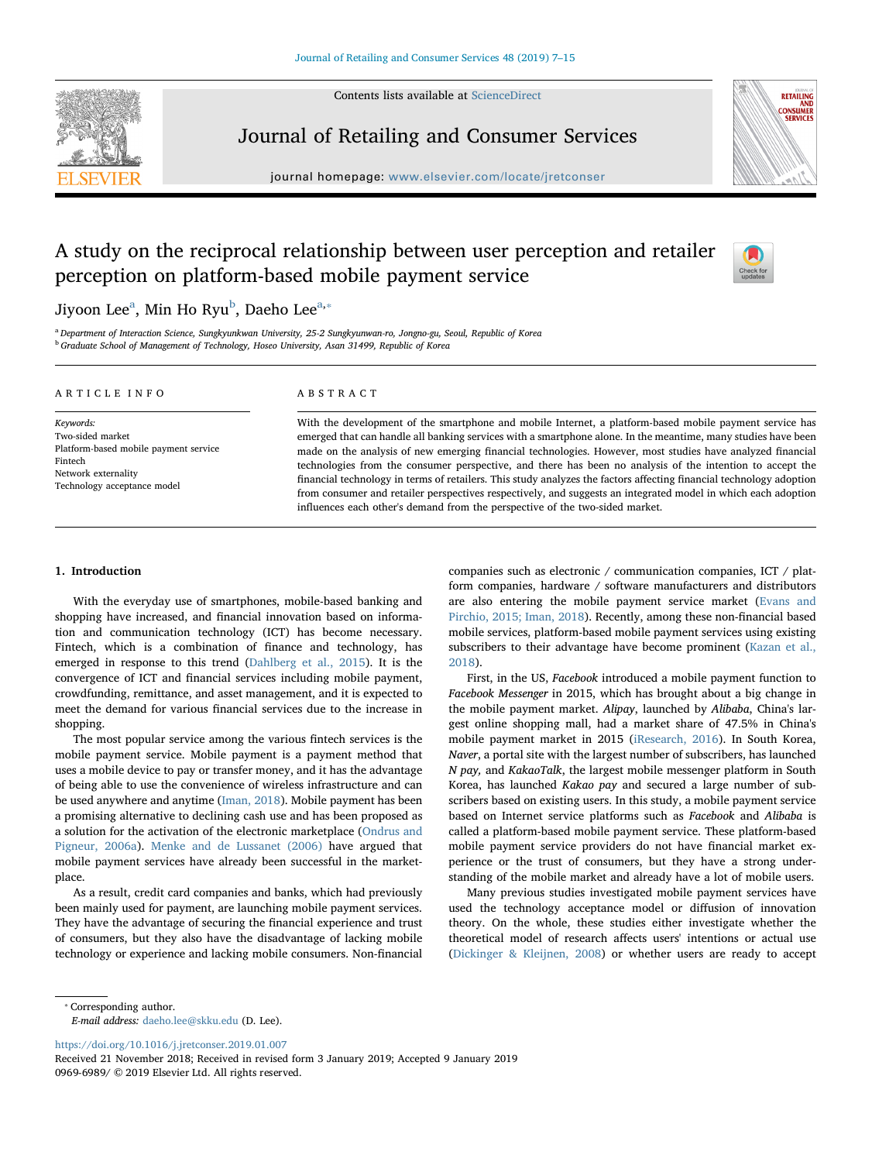Contents lists available at [ScienceDirect](http://www.sciencedirect.com/science/journal/09696989)



Journal of Retailing and Consumer Services

journal homepage: [www.elsevier.com/locate/jretconser](https://www.elsevier.com/locate/jretconser)



# A study on the reciprocal relationship between user perception and retailer perception on platform-based mobile payment service



Jiyoon Lee<sup>[a](#page-0-0)</sup>, Min Ho Ryu<sup>[b](#page-0-1)</sup>, Daeho Lee<sup>[a,](#page-0-0)</sup>\*

<span id="page-0-1"></span><span id="page-0-0"></span><sup>a</sup> Department of Interaction Science, Sungkyunkwan University, 25-2 Sungkyunwan-ro, Jongno-gu, Seoul, Republic of Korea <sup>b</sup> Graduate School of Management of Technology, Hoseo University, Asan 31499, Republic of Korea

# ARTICLE INFO

Keywords: Two-sided market Platform-based mobile payment service Fintech Network externality Technology acceptance model

# ABSTRACT

With the development of the smartphone and mobile Internet, a platform-based mobile payment service has emerged that can handle all banking services with a smartphone alone. In the meantime, many studies have been made on the analysis of new emerging financial technologies. However, most studies have analyzed financial technologies from the consumer perspective, and there has been no analysis of the intention to accept the financial technology in terms of retailers. This study analyzes the factors affecting financial technology adoption from consumer and retailer perspectives respectively, and suggests an integrated model in which each adoption influences each other's demand from the perspective of the two-sided market.

# 1. Introduction

With the everyday use of smartphones, mobile-based banking and shopping have increased, and financial innovation based on information and communication technology (ICT) has become necessary. Fintech, which is a combination of finance and technology, has emerged in response to this trend [\(Dahlberg et al., 2015\)](#page-7-0). It is the convergence of ICT and financial services including mobile payment, crowdfunding, remittance, and asset management, and it is expected to meet the demand for various financial services due to the increase in shopping.

The most popular service among the various fintech services is the mobile payment service. Mobile payment is a payment method that uses a mobile device to pay or transfer money, and it has the advantage of being able to use the convenience of wireless infrastructure and can be used anywhere and anytime [\(Iman, 2018\)](#page-7-1). Mobile payment has been a promising alternative to declining cash use and has been proposed as a solution for the activation of the electronic marketplace ([Ondrus and](#page-8-0) [Pigneur, 2006a\)](#page-8-0). [Menke and de Lussanet \(2006\)](#page-7-2) have argued that mobile payment services have already been successful in the marketplace.

As a result, credit card companies and banks, which had previously been mainly used for payment, are launching mobile payment services. They have the advantage of securing the financial experience and trust of consumers, but they also have the disadvantage of lacking mobile technology or experience and lacking mobile consumers. Non-financial companies such as electronic / communication companies, ICT / platform companies, hardware / software manufacturers and distributors are also entering the mobile payment service market [\(Evans and](#page-7-3) [Pirchio, 2015; Iman, 2018](#page-7-3)). Recently, among these non-financial based mobile services, platform-based mobile payment services using existing subscribers to their advantage have become prominent [\(Kazan et al.,](#page-7-4) [2018\)](#page-7-4).

First, in the US, Facebook introduced a mobile payment function to Facebook Messenger in 2015, which has brought about a big change in the mobile payment market. Alipay, launched by Alibaba, China's largest online shopping mall, had a market share of 47.5% in China's mobile payment market in 2015 ([iResearch, 2016\)](#page-7-5). In South Korea, Naver, a portal site with the largest number of subscribers, has launched N pay, and KakaoTalk, the largest mobile messenger platform in South Korea, has launched Kakao pay and secured a large number of subscribers based on existing users. In this study, a mobile payment service based on Internet service platforms such as Facebook and Alibaba is called a platform-based mobile payment service. These platform-based mobile payment service providers do not have financial market experience or the trust of consumers, but they have a strong understanding of the mobile market and already have a lot of mobile users.

Many previous studies investigated mobile payment services have used the technology acceptance model or diffusion of innovation theory. On the whole, these studies either investigate whether the theoretical model of research affects users' intentions or actual use ([Dickinger & Kleijnen, 2008\)](#page-7-6) or whether users are ready to accept

<span id="page-0-2"></span>⁎ Corresponding author.

E-mail address: [daeho.lee@skku.edu](mailto:daeho.lee@skku.edu) (D. Lee).

<https://doi.org/10.1016/j.jretconser.2019.01.007>

Received 21 November 2018; Received in revised form 3 January 2019; Accepted 9 January 2019 0969-6989/ © 2019 Elsevier Ltd. All rights reserved.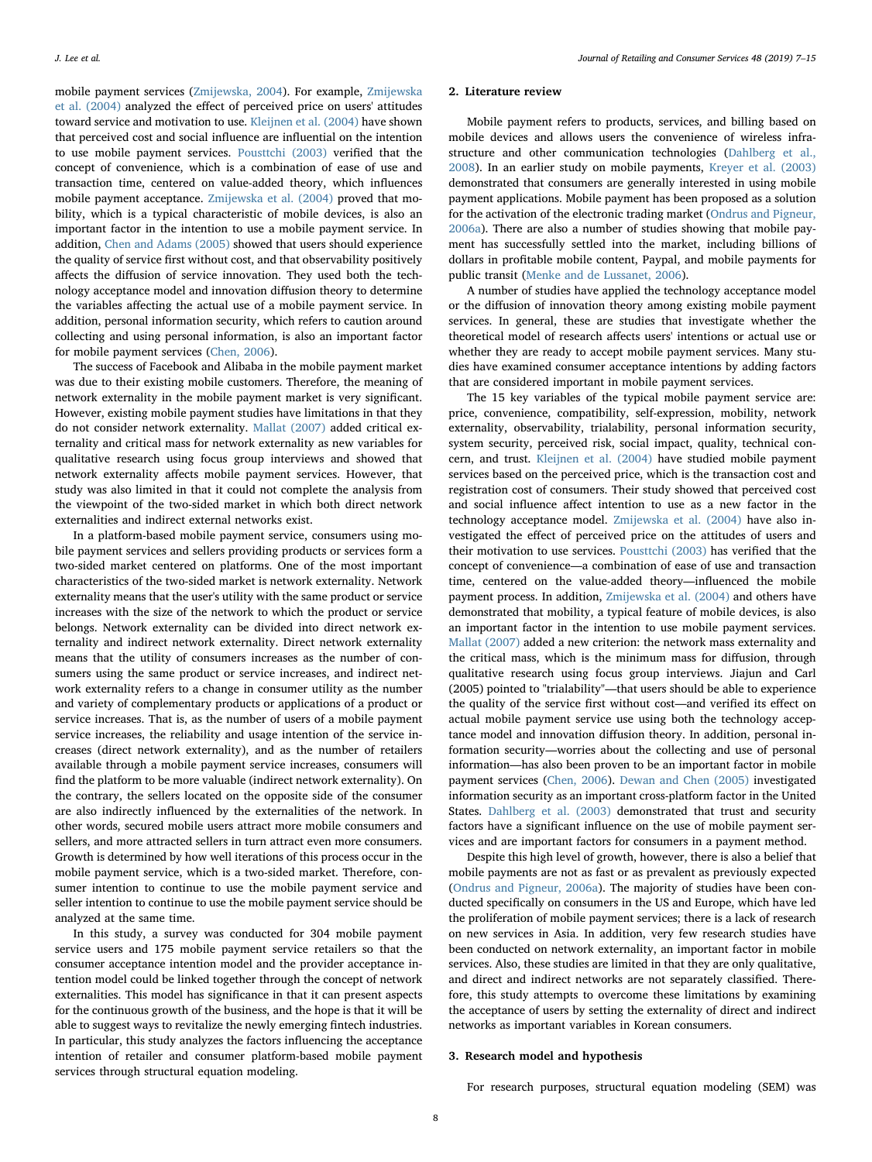mobile payment services [\(Zmijewska, 2004](#page-8-1)). For example, [Zmijewska](#page-8-1) [et al. \(2004\)](#page-8-1) analyzed the effect of perceived price on users' attitudes toward service and motivation to use. [Kleijnen et al. \(2004\)](#page-7-7) have shown that perceived cost and social influence are influential on the intention to use mobile payment services. [Pousttchi \(2003\)](#page-8-2) verified that the concept of convenience, which is a combination of ease of use and transaction time, centered on value-added theory, which influences mobile payment acceptance. [Zmijewska et al. \(2004\)](#page-8-1) proved that mobility, which is a typical characteristic of mobile devices, is also an important factor in the intention to use a mobile payment service. In addition, [Chen and Adams \(2005\)](#page-7-8) showed that users should experience the quality of service first without cost, and that observability positively affects the diffusion of service innovation. They used both the technology acceptance model and innovation diffusion theory to determine the variables affecting the actual use of a mobile payment service. In addition, personal information security, which refers to caution around collecting and using personal information, is also an important factor for mobile payment services ([Chen, 2006\)](#page-7-9).

The success of Facebook and Alibaba in the mobile payment market was due to their existing mobile customers. Therefore, the meaning of network externality in the mobile payment market is very significant. However, existing mobile payment studies have limitations in that they do not consider network externality. [Mallat \(2007\)](#page-7-10) added critical externality and critical mass for network externality as new variables for qualitative research using focus group interviews and showed that network externality affects mobile payment services. However, that study was also limited in that it could not complete the analysis from the viewpoint of the two-sided market in which both direct network externalities and indirect external networks exist.

In a platform-based mobile payment service, consumers using mobile payment services and sellers providing products or services form a two-sided market centered on platforms. One of the most important characteristics of the two-sided market is network externality. Network externality means that the user's utility with the same product or service increases with the size of the network to which the product or service belongs. Network externality can be divided into direct network externality and indirect network externality. Direct network externality means that the utility of consumers increases as the number of consumers using the same product or service increases, and indirect network externality refers to a change in consumer utility as the number and variety of complementary products or applications of a product or service increases. That is, as the number of users of a mobile payment service increases, the reliability and usage intention of the service increases (direct network externality), and as the number of retailers available through a mobile payment service increases, consumers will find the platform to be more valuable (indirect network externality). On the contrary, the sellers located on the opposite side of the consumer are also indirectly influenced by the externalities of the network. In other words, secured mobile users attract more mobile consumers and sellers, and more attracted sellers in turn attract even more consumers. Growth is determined by how well iterations of this process occur in the mobile payment service, which is a two-sided market. Therefore, consumer intention to continue to use the mobile payment service and seller intention to continue to use the mobile payment service should be analyzed at the same time.

In this study, a survey was conducted for 304 mobile payment service users and 175 mobile payment service retailers so that the consumer acceptance intention model and the provider acceptance intention model could be linked together through the concept of network externalities. This model has significance in that it can present aspects for the continuous growth of the business, and the hope is that it will be able to suggest ways to revitalize the newly emerging fintech industries. In particular, this study analyzes the factors influencing the acceptance intention of retailer and consumer platform-based mobile payment services through structural equation modeling.

#### 2. Literature review

Mobile payment refers to products, services, and billing based on mobile devices and allows users the convenience of wireless infrastructure and other communication technologies ([Dahlberg et al.,](#page-7-11) [2008\)](#page-7-11). In an earlier study on mobile payments, [Kreyer et al. \(2003\)](#page-7-12) demonstrated that consumers are generally interested in using mobile payment applications. Mobile payment has been proposed as a solution for the activation of the electronic trading market [\(Ondrus and Pigneur,](#page-8-0) [2006a\)](#page-8-0). There are also a number of studies showing that mobile payment has successfully settled into the market, including billions of dollars in profitable mobile content, Paypal, and mobile payments for public transit [\(Menke and de Lussanet, 2006\)](#page-7-2).

A number of studies have applied the technology acceptance model or the diffusion of innovation theory among existing mobile payment services. In general, these are studies that investigate whether the theoretical model of research affects users' intentions or actual use or whether they are ready to accept mobile payment services. Many studies have examined consumer acceptance intentions by adding factors that are considered important in mobile payment services.

The 15 key variables of the typical mobile payment service are: price, convenience, compatibility, self-expression, mobility, network externality, observability, trialability, personal information security, system security, perceived risk, social impact, quality, technical concern, and trust. [Kleijnen et al. \(2004\)](#page-7-7) have studied mobile payment services based on the perceived price, which is the transaction cost and registration cost of consumers. Their study showed that perceived cost and social influence affect intention to use as a new factor in the technology acceptance model. [Zmijewska et al. \(2004\)](#page-8-1) have also investigated the effect of perceived price on the attitudes of users and their motivation to use services. [Pousttchi \(2003\)](#page-8-2) has verified that the concept of convenience—a combination of ease of use and transaction time, centered on the value-added theory—influenced the mobile payment process. In addition, [Zmijewska et al. \(2004\)](#page-8-1) and others have demonstrated that mobility, a typical feature of mobile devices, is also an important factor in the intention to use mobile payment services. [Mallat \(2007\)](#page-7-10) added a new criterion: the network mass externality and the critical mass, which is the minimum mass for diffusion, through qualitative research using focus group interviews. Jiajun and Carl (2005) pointed to "trialability"—that users should be able to experience the quality of the service first without cost—and verified its effect on actual mobile payment service use using both the technology acceptance model and innovation diffusion theory. In addition, personal information security—worries about the collecting and use of personal information—has also been proven to be an important factor in mobile payment services ([Chen, 2006](#page-7-9)). [Dewan and Chen \(2005\)](#page-7-13) investigated information security as an important cross-platform factor in the United States. [Dahlberg et al. \(2003\)](#page-7-14) demonstrated that trust and security factors have a significant influence on the use of mobile payment services and are important factors for consumers in a payment method.

Despite this high level of growth, however, there is also a belief that mobile payments are not as fast or as prevalent as previously expected ([Ondrus and Pigneur, 2006a\)](#page-8-0). The majority of studies have been conducted specifically on consumers in the US and Europe, which have led the proliferation of mobile payment services; there is a lack of research on new services in Asia. In addition, very few research studies have been conducted on network externality, an important factor in mobile services. Also, these studies are limited in that they are only qualitative, and direct and indirect networks are not separately classified. Therefore, this study attempts to overcome these limitations by examining the acceptance of users by setting the externality of direct and indirect networks as important variables in Korean consumers.

#### 3. Research model and hypothesis

For research purposes, structural equation modeling (SEM) was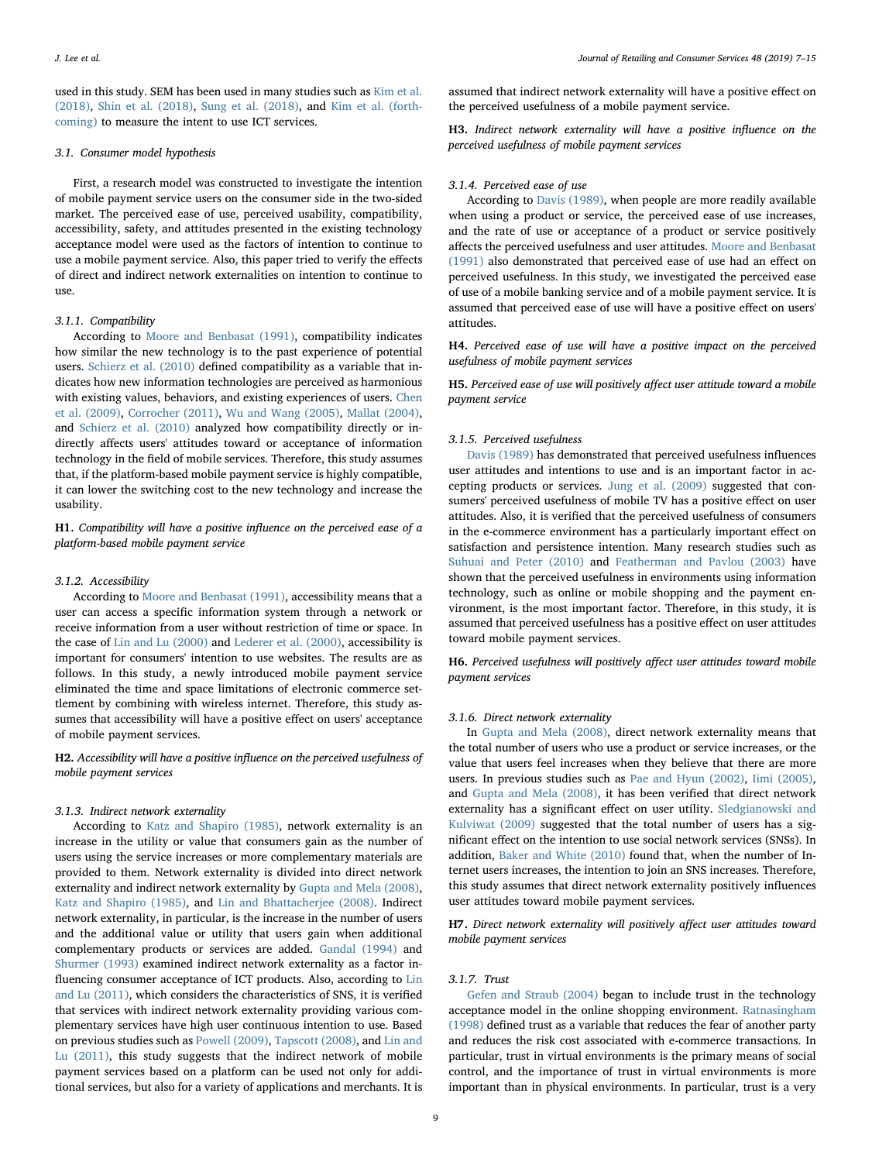used in this study. SEM has been used in many studies such as [Kim et al.](#page-7-15) [\(2018\),](#page-7-15) [Shin et al. \(2018\)](#page-8-3), [Sung et al. \(2018\)](#page-8-4), and [Kim et al. \(forth](#page-7-16)[coming\)](#page-7-16) to measure the intent to use ICT services.

#### 3.1. Consumer model hypothesis

First, a research model was constructed to investigate the intention of mobile payment service users on the consumer side in the two-sided market. The perceived ease of use, perceived usability, compatibility, accessibility, safety, and attitudes presented in the existing technology acceptance model were used as the factors of intention to continue to use a mobile payment service. Also, this paper tried to verify the effects of direct and indirect network externalities on intention to continue to use.

# 3.1.1. Compatibility

According to [Moore and Benbasat \(1991\)](#page-8-5), compatibility indicates how similar the new technology is to the past experience of potential users. [Schierz et al. \(2010\)](#page-8-6) defined compatibility as a variable that indicates how new information technologies are perceived as harmonious with existing values, behaviors, and existing experiences of users. [Chen](#page-7-17) [et al. \(2009\)](#page-7-17), [Corrocher \(2011\)](#page-7-18), [Wu and Wang \(2005\)](#page-8-7), [Mallat \(2004\)](#page-7-19), and [Schierz et al. \(2010\)](#page-8-6) analyzed how compatibility directly or indirectly affects users' attitudes toward or acceptance of information technology in the field of mobile services. Therefore, this study assumes that, if the platform-based mobile payment service is highly compatible, it can lower the switching cost to the new technology and increase the usability.

H1. Compatibility will have a positive influence on the perceived ease of a platform-based mobile payment service

# 3.1.2. Accessibility

According to [Moore and Benbasat \(1991\),](#page-8-5) accessibility means that a user can access a specific information system through a network or receive information from a user without restriction of time or space. In the case of [Lin and Lu \(2000\)](#page-7-20) and [Lederer et al. \(2000\)](#page-7-21), accessibility is important for consumers' intention to use websites. The results are as follows. In this study, a newly introduced mobile payment service eliminated the time and space limitations of electronic commerce settlement by combining with wireless internet. Therefore, this study assumes that accessibility will have a positive effect on users' acceptance of mobile payment services.

# H2. Accessibility will have a positive influence on the perceived usefulness of mobile payment services

#### 3.1.3. Indirect network externality

According to [Katz and Shapiro \(1985\),](#page-7-22) network externality is an increase in the utility or value that consumers gain as the number of users using the service increases or more complementary materials are provided to them. Network externality is divided into direct network externality and indirect network externality by [Gupta and Mela \(2008\)](#page-7-23), [Katz and Shapiro \(1985\)](#page-7-22), and [Lin and Bhattacherjee \(2008\).](#page-7-24) Indirect network externality, in particular, is the increase in the number of users and the additional value or utility that users gain when additional complementary products or services are added. [Gandal \(1994\)](#page-7-25) and [Shurmer \(1993\)](#page-8-8) examined indirect network externality as a factor influencing consumer acceptance of ICT products. Also, according to [Lin](#page-7-26) [and Lu \(2011\)](#page-7-26), which considers the characteristics of SNS, it is verified that services with indirect network externality providing various complementary services have high user continuous intention to use. Based on previous studies such as [Powell \(2009\)](#page-8-9), [Tapscott \(2008\)](#page-8-10), and [Lin and](#page-7-26) [Lu \(2011\),](#page-7-26) this study suggests that the indirect network of mobile payment services based on a platform can be used not only for additional services, but also for a variety of applications and merchants. It is assumed that indirect network externality will have a positive effect on the perceived usefulness of a mobile payment service.

H3. Indirect network externality will have a positive influence on the perceived usefulness of mobile payment services

#### 3.1.4. Perceived ease of use

According to [Davis \(1989\),](#page-7-27) when people are more readily available when using a product or service, the perceived ease of use increases, and the rate of use or acceptance of a product or service positively affects the perceived usefulness and user attitudes. [Moore and Benbasat](#page-8-5) [\(1991\)](#page-8-5) also demonstrated that perceived ease of use had an effect on perceived usefulness. In this study, we investigated the perceived ease of use of a mobile banking service and of a mobile payment service. It is assumed that perceived ease of use will have a positive effect on users' attitudes.

H4. Perceived ease of use will have a positive impact on the perceived usefulness of mobile payment services

H5. Perceived ease of use will positively affect user attitude toward a mobile payment service

#### 3.1.5. Perceived usefulness

[Davis \(1989\)](#page-7-27) has demonstrated that perceived usefulness influences user attitudes and intentions to use and is an important factor in accepting products or services. [Jung et al. \(2009\)](#page-7-28) suggested that consumers' perceived usefulness of mobile TV has a positive effect on user attitudes. Also, it is verified that the perceived usefulness of consumers in the e-commerce environment has a particularly important effect on satisfaction and persistence intention. Many research studies such as [Suhuai and Peter \(2010\)](#page-8-11) and [Featherman and Pavlou \(2003\)](#page-7-29) have shown that the perceived usefulness in environments using information technology, such as online or mobile shopping and the payment environment, is the most important factor. Therefore, in this study, it is assumed that perceived usefulness has a positive effect on user attitudes toward mobile payment services.

H6. Perceived usefulness will positively affect user attitudes toward mobile payment services

# 3.1.6. Direct network externality

In [Gupta and Mela \(2008\),](#page-7-23) direct network externality means that the total number of users who use a product or service increases, or the value that users feel increases when they believe that there are more users. In previous studies such as [Pae and Hyun \(2002\),](#page-8-12) [Iimi \(2005\)](#page-7-30), and [Gupta and Mela \(2008\)](#page-7-23), it has been verified that direct network externality has a significant effect on user utility. [Sledgianowski and](#page-8-13) [Kulviwat \(2009\)](#page-8-13) suggested that the total number of users has a significant effect on the intention to use social network services (SNSs). In addition, [Baker and White \(2010\)](#page-7-31) found that, when the number of Internet users increases, the intention to join an SNS increases. Therefore, this study assumes that direct network externality positively influences user attitudes toward mobile payment services.

H7. Direct network externality will positively affect user attitudes toward mobile payment services

# 3.1.7. Trust

[Gefen and Straub \(2004\)](#page-7-32) began to include trust in the technology acceptance model in the online shopping environment. [Ratnasingham](#page-8-14) [\(1998\)](#page-8-14) defined trust as a variable that reduces the fear of another party and reduces the risk cost associated with e-commerce transactions. In particular, trust in virtual environments is the primary means of social control, and the importance of trust in virtual environments is more important than in physical environments. In particular, trust is a very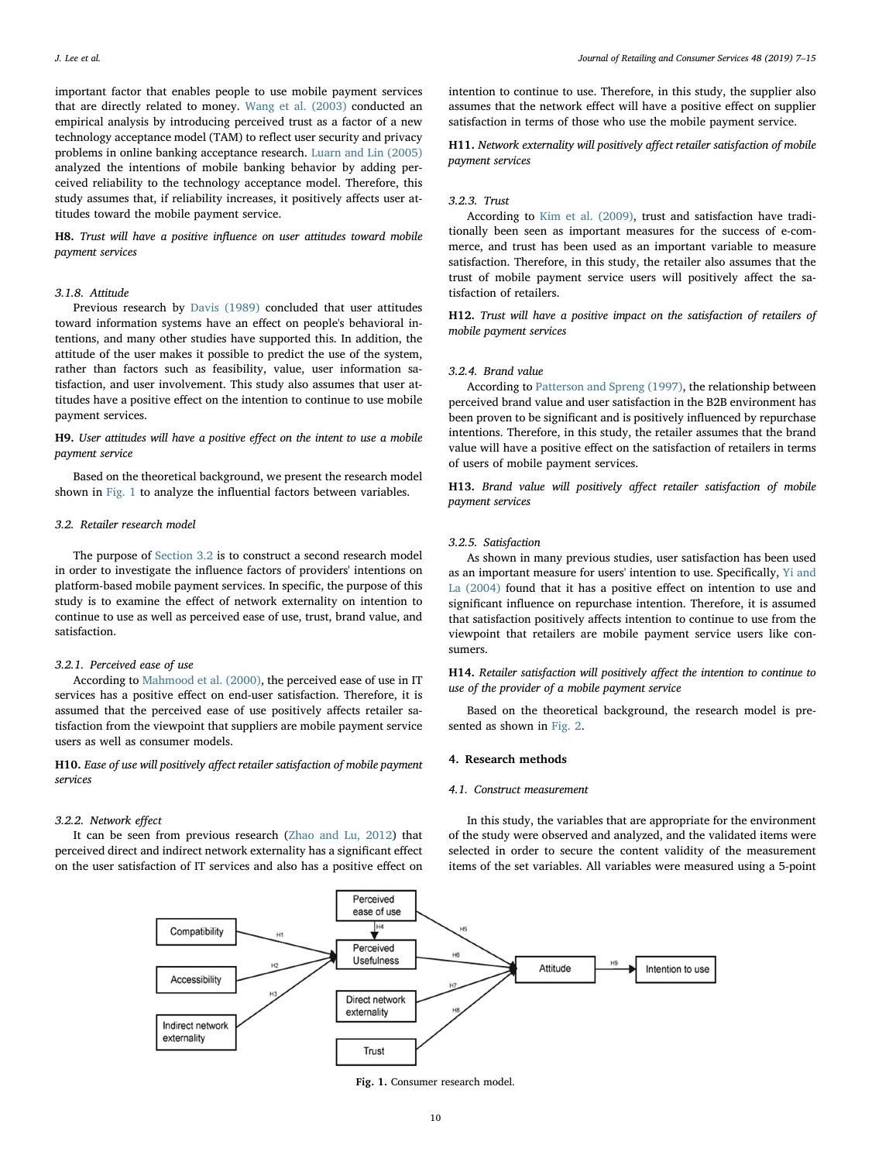important factor that enables people to use mobile payment services that are directly related to money. [Wang et al. \(2003\)](#page-8-15) conducted an empirical analysis by introducing perceived trust as a factor of a new technology acceptance model (TAM) to reflect user security and privacy problems in online banking acceptance research. [Luarn and Lin \(2005\)](#page-7-33) analyzed the intentions of mobile banking behavior by adding perceived reliability to the technology acceptance model. Therefore, this study assumes that, if reliability increases, it positively affects user attitudes toward the mobile payment service.

H8. Trust will have a positive influence on user attitudes toward mobile payment services

# 3.1.8. Attitude

Previous research by [Davis \(1989\)](#page-7-27) concluded that user attitudes toward information systems have an effect on people's behavioral intentions, and many other studies have supported this. In addition, the attitude of the user makes it possible to predict the use of the system, rather than factors such as feasibility, value, user information satisfaction, and user involvement. This study also assumes that user attitudes have a positive effect on the intention to continue to use mobile payment services.

H9. User attitudes will have a positive effect on the intent to use a mobile payment service

Based on the theoretical background, we present the research model shown in [Fig. 1](#page-3-0) to analyze the influential factors between variables.

# <span id="page-3-1"></span>3.2. Retailer research model

The purpose of [Section 3.2](#page-3-1) is to construct a second research model in order to investigate the influence factors of providers' intentions on platform-based mobile payment services. In specific, the purpose of this study is to examine the effect of network externality on intention to continue to use as well as perceived ease of use, trust, brand value, and satisfaction.

### 3.2.1. Perceived ease of use

According to [Mahmood et al. \(2000\)](#page-7-34), the perceived ease of use in IT services has a positive effect on end-user satisfaction. Therefore, it is assumed that the perceived ease of use positively affects retailer satisfaction from the viewpoint that suppliers are mobile payment service users as well as consumer models.

H10. Ease of use will positively affect retailer satisfaction of mobile payment services

#### 3.2.2. Network effect

<span id="page-3-0"></span>It can be seen from previous research [\(Zhao and Lu, 2012\)](#page-8-16) that perceived direct and indirect network externality has a significant effect on the user satisfaction of IT services and also has a positive effect on intention to continue to use. Therefore, in this study, the supplier also assumes that the network effect will have a positive effect on supplier satisfaction in terms of those who use the mobile payment service.

H11. Network externality will positively affect retailer satisfaction of mobile payment services

#### 3.2.3. Trust

According to [Kim et al. \(2009\),](#page-7-35) trust and satisfaction have traditionally been seen as important measures for the success of e-commerce, and trust has been used as an important variable to measure satisfaction. Therefore, in this study, the retailer also assumes that the trust of mobile payment service users will positively affect the satisfaction of retailers.

H12. Trust will have a positive impact on the satisfaction of retailers of mobile payment services

# 3.2.4. Brand value

According to [Patterson and Spreng \(1997\),](#page-8-17) the relationship between perceived brand value and user satisfaction in the B2B environment has been proven to be significant and is positively influenced by repurchase intentions. Therefore, in this study, the retailer assumes that the brand value will have a positive effect on the satisfaction of retailers in terms of users of mobile payment services.

H13. Brand value will positively affect retailer satisfaction of mobile payment services

#### 3.2.5. Satisfaction

As shown in many previous studies, user satisfaction has been used as an important measure for users' intention to use. Specifically, [Yi and](#page-8-18) [La \(2004\)](#page-8-18) found that it has a positive effect on intention to use and significant influence on repurchase intention. Therefore, it is assumed that satisfaction positively affects intention to continue to use from the viewpoint that retailers are mobile payment service users like consumers.

H14. Retailer satisfaction will positively affect the intention to continue to use of the provider of a mobile payment service

Based on the theoretical background, the research model is presented as shown in [Fig. 2](#page-4-0).

# 4. Research methods

#### 4.1. Construct measurement

In this study, the variables that are appropriate for the environment of the study were observed and analyzed, and the validated items were selected in order to secure the content validity of the measurement items of the set variables. All variables were measured using a 5-point



Fig. 1. Consumer research model.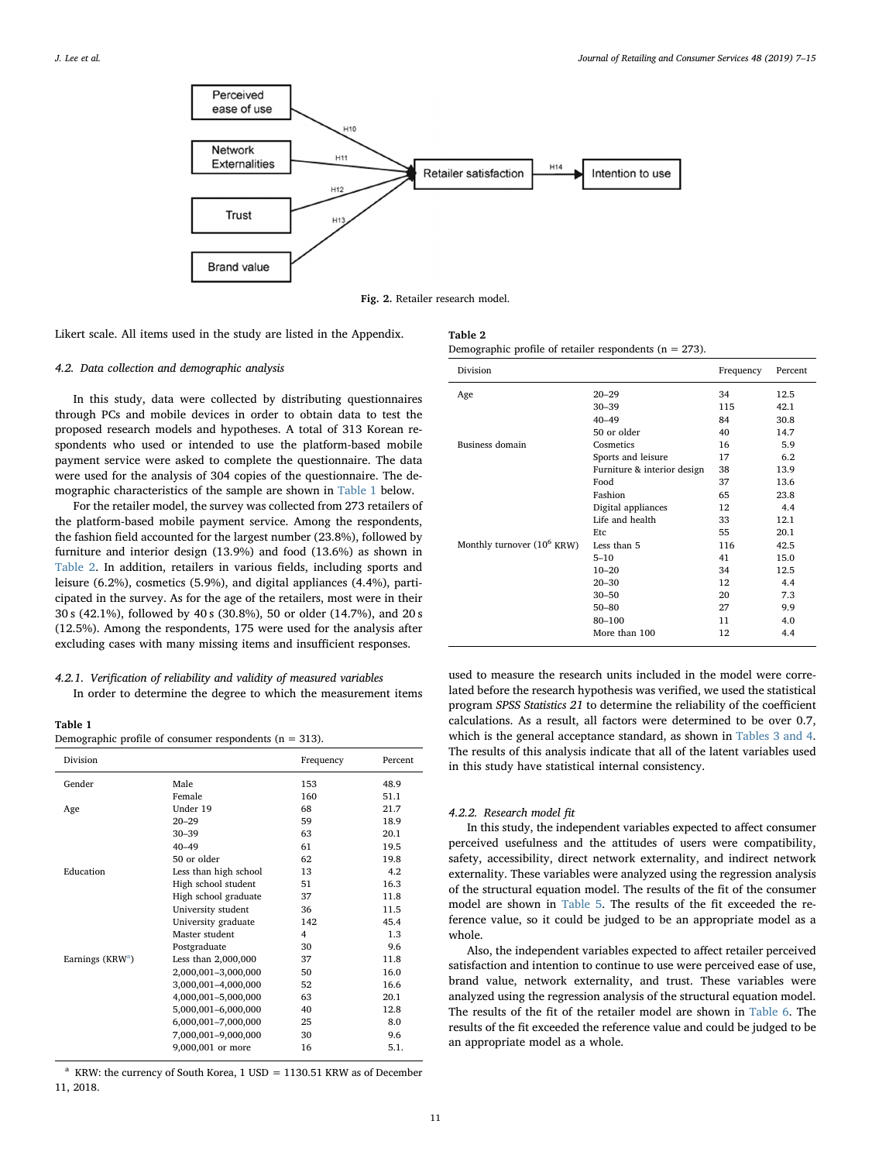<span id="page-4-0"></span>

Fig. 2. Retailer research model.

Likert scale. All items used in the study are listed in the Appendix.

# 4.2. Data collection and demographic analysis

In this study, data were collected by distributing questionnaires through PCs and mobile devices in order to obtain data to test the proposed research models and hypotheses. A total of 313 Korean respondents who used or intended to use the platform-based mobile payment service were asked to complete the questionnaire. The data were used for the analysis of 304 copies of the questionnaire. The demographic characteristics of the sample are shown in [Table 1](#page-4-1) below.

For the retailer model, the survey was collected from 273 retailers of the platform-based mobile payment service. Among the respondents, the fashion field accounted for the largest number (23.8%), followed by furniture and interior design (13.9%) and food (13.6%) as shown in [Table 2](#page-4-2). In addition, retailers in various fields, including sports and leisure (6.2%), cosmetics (5.9%), and digital appliances (4.4%), participated in the survey. As for the age of the retailers, most were in their 30 s (42.1%), followed by 40 s (30.8%), 50 or older (14.7%), and 20 s (12.5%). Among the respondents, 175 were used for the analysis after excluding cases with many missing items and insufficient responses.

|  | 4.2.1. Verification of reliability and validity of measured variables |  |  |  |
|--|-----------------------------------------------------------------------|--|--|--|
|  | In order to determine the degree to which the measurement items       |  |  |  |

#### <span id="page-4-1"></span>Table 1

Demographic profile of consumer respondents ( $n = 313$ ).

| Division                     |                       | Frequency | Percent |
|------------------------------|-----------------------|-----------|---------|
| Gender                       | Male                  | 153       | 48.9    |
|                              | Female                | 160       | 51.1    |
| Age                          | Under 19              | 68        | 21.7    |
|                              | $20 - 29$             | 59        | 18.9    |
|                              | $30 - 39$             | 63        | 20.1    |
|                              | $40 - 49$             | 61        | 19.5    |
|                              | 50 or older           | 62        | 19.8    |
| Education                    | Less than high school | 13        | 4.2     |
|                              | High school student   | 51        | 16.3    |
|                              | High school graduate  | 37        | 11.8    |
|                              | University student    | 36        | 11.5    |
|                              | University graduate   | 142       | 45.4    |
|                              | Master student        | 4         | 1.3     |
|                              | Postgraduate          | 30        | 9.6     |
| Earnings (KRW <sup>a</sup> ) | Less than 2,000,000   | 37        | 11.8    |
|                              | 2,000,001-3,000,000   | 50        | 16.0    |
|                              | 3,000,001-4,000,000   | 52        | 16.6    |
|                              | 4,000,001-5,000,000   | 63        | 20.1    |
|                              | 5,000,001-6,000,000   | 40        | 12.8    |
|                              | 6,000,001-7,000,000   | 25        | 8.0     |
|                              | 7,000,001-9,000,000   | 30        | 9.6     |
|                              | 9,000,001 or more     | 16        | 5.1.    |
|                              |                       |           |         |

<span id="page-4-3"></span>

|           | <sup>a</sup> KRW: the currency of South Korea, 1 USD = 1130.51 KRW as of December |  |  |  |
|-----------|-----------------------------------------------------------------------------------|--|--|--|
| 11, 2018. |                                                                                   |  |  |  |

<span id="page-4-2"></span>

| Fable |  |
|-------|--|
|-------|--|

Demographic profile of retailer respondents (n = 273).

| Division                               |                             | Frequency | Percent |
|----------------------------------------|-----------------------------|-----------|---------|
| Age                                    | $20 - 29$                   | 34        | 12.5    |
|                                        | $30 - 39$                   | 115       | 42.1    |
|                                        | $40 - 49$                   | 84        | 30.8    |
|                                        | 50 or older                 | 40        | 14.7    |
| Business domain                        | Cosmetics                   | 16        | 5.9     |
|                                        | Sports and leisure          | 17        | 6.2     |
|                                        | Furniture & interior design | 38        | 13.9    |
|                                        | Food                        | 37        | 13.6    |
|                                        | Fashion                     | 65        | 23.8    |
|                                        | Digital appliances          | 12        | 4.4     |
|                                        | Life and health             | 33        | 12.1    |
|                                        | Etc                         | 55        | 20.1    |
| Monthly turnover (10 <sup>6</sup> KRW) | Less than 5                 | 116       | 42.5    |
|                                        | $5 - 10$                    | 41        | 15.0    |
|                                        | $10 - 20$                   | 34        | 12.5    |
|                                        | $20 - 30$                   | 12        | 4.4     |
|                                        | $30 - 50$                   | 20        | 7.3     |
|                                        | $50 - 80$                   | 27        | 9.9     |
|                                        | 80-100                      | 11        | 4.0     |
|                                        | More than 100               | 12        | 4.4     |

used to measure the research units included in the model were correlated before the research hypothesis was verified, we used the statistical program SPSS Statistics 21 to determine the reliability of the coefficient calculations. As a result, all factors were determined to be over 0.7, which is the general acceptance standard, as shown in [Tables 3 and 4](#page-5-0). The results of this analysis indicate that all of the latent variables used in this study have statistical internal consistency.

#### 4.2.2. Research model fit

In this study, the independent variables expected to affect consumer perceived usefulness and the attitudes of users were compatibility, safety, accessibility, direct network externality, and indirect network externality. These variables were analyzed using the regression analysis of the structural equation model. The results of the fit of the consumer model are shown in [Table 5](#page-5-1). The results of the fit exceeded the reference value, so it could be judged to be an appropriate model as a whole.

Also, the independent variables expected to affect retailer perceived satisfaction and intention to continue to use were perceived ease of use, brand value, network externality, and trust. These variables were analyzed using the regression analysis of the structural equation model. The results of the fit of the retailer model are shown in [Table 6](#page-5-2). The results of the fit exceeded the reference value and could be judged to be an appropriate model as a whole.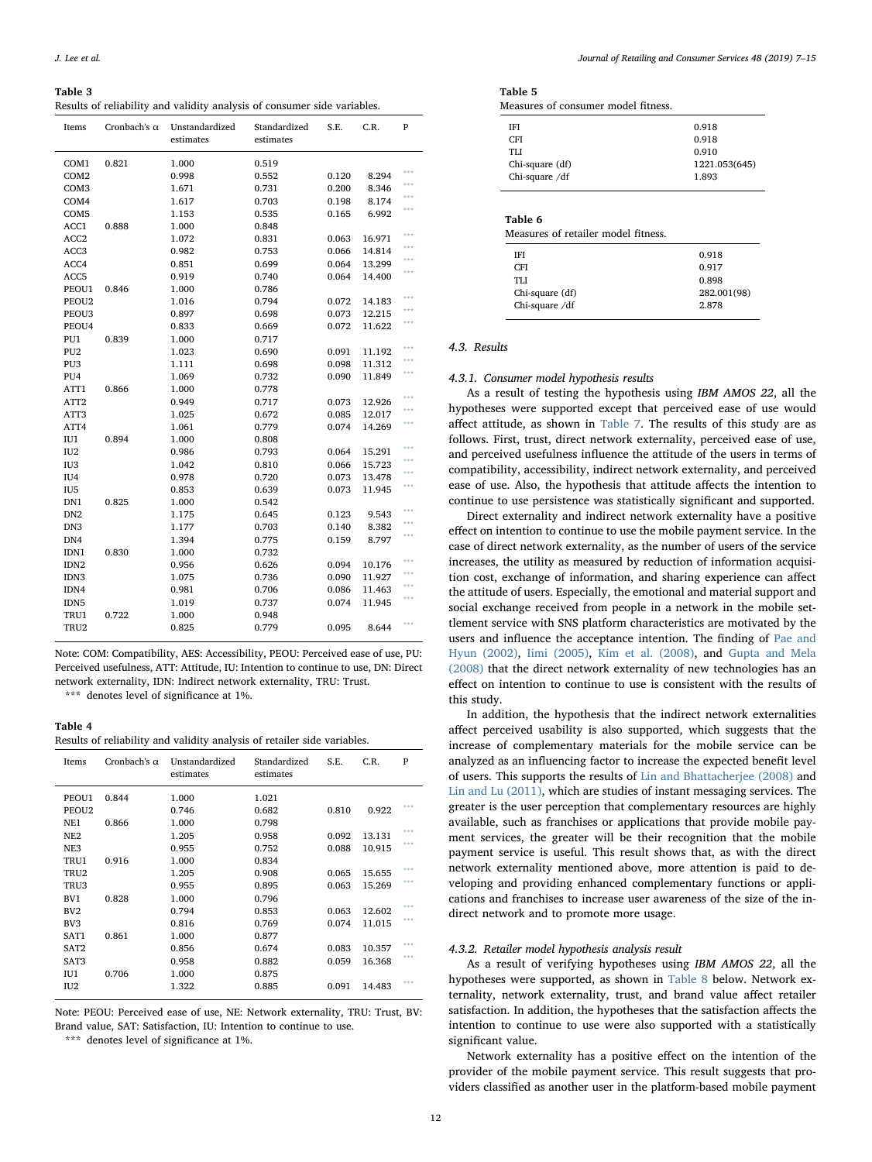<span id="page-5-0"></span>Table 3 Results of reliability and validity analysis of consumer side variables.

| Items            | Cronbach's $\alpha$ | Unstandardized<br>estimates | Standardized<br>estimates | S.E.  | C.R.   | P          |
|------------------|---------------------|-----------------------------|---------------------------|-------|--------|------------|
| COM1             | 0.821               | 1.000                       | 0.519                     |       |        |            |
| COM <sub>2</sub> |                     | 0.998                       | 0.552                     | 0.120 | 8.294  | 含含金        |
| COM <sub>3</sub> |                     | 1.671                       | 0.731                     | 0.200 | 8.346  | ***        |
| COM4             |                     | 1.617                       | 0.703                     | 0.198 | 8.174  | ***        |
| COM5             |                     | 1.153                       | 0.535                     | 0.165 | 6.992  | 含含含        |
| ACC1             | 0.888               | 1.000                       | 0.848                     |       |        |            |
| ACC <sub>2</sub> |                     | 1.072                       | 0.831                     | 0.063 | 16.971 | ***        |
| ACC <sub>3</sub> |                     | 0.982                       | 0.753                     | 0.066 | 14.814 | ***        |
| ACC4             |                     | 0.851                       | 0.699                     | 0.064 | 13.299 | ***        |
| ACC <sub>5</sub> |                     | 0.919                       | 0.740                     | 0.064 | 14.400 | 含含含        |
| PEOU1            | 0.846               | 1.000                       | 0.786                     |       |        |            |
| PEOU2            |                     | 1.016                       | 0.794                     | 0.072 | 14.183 |            |
| PEOU3            |                     | 0.897                       | 0.698                     | 0.073 | 12.215 | ***        |
| PEOU4            |                     | 0.833                       | 0.669                     | 0.072 | 11.622 | ***        |
| PU1              | 0.839               | 1.000                       | 0.717                     |       |        |            |
| PU <sub>2</sub>  |                     | 1.023                       | 0.690                     | 0.091 | 11.192 | ***        |
| PU <sub>3</sub>  |                     | 1.111                       | 0.698                     | 0.098 | 11.312 | ***        |
| PU4              |                     | 1.069                       | 0.732                     | 0.090 | 11.849 | ***        |
| ATT1             | 0.866               | 1.000                       | 0.778                     |       |        |            |
| ATT <sub>2</sub> |                     | 0.949                       | 0.717                     | 0.073 | 12.926 | ***        |
| ATT3             |                     | 1.025                       | 0.672                     | 0.085 | 12.017 | ***        |
| ATT4             |                     | 1.061                       | 0.779                     | 0.074 | 14.269 | ***        |
| IU1              | 0.894               | 1.000                       | 0.808                     |       |        |            |
| IU <sub>2</sub>  |                     | 0.986                       | 0.793                     | 0.064 | 15.291 | ***        |
| IU <sub>3</sub>  |                     | 1.042                       | 0.810                     | 0.066 | 15.723 | ***        |
| IU4              |                     | 0.978                       | 0.720                     | 0.073 | 13.478 | ***        |
| IU <sub>5</sub>  |                     | 0.853                       | 0.639                     | 0.073 | 11.945 | ***        |
| DN1              | 0.825               | 1.000                       | 0.542                     |       |        | ***        |
| DN <sub>2</sub>  |                     | 1.175                       | 0.645                     | 0.123 | 9.543  | ***        |
| DN3              |                     | 1.177                       | 0.703                     | 0.140 | 8.382  | ***        |
| DN <sub>4</sub>  |                     | 1.394                       | 0.775                     | 0.159 | 8.797  |            |
| IDN1             | 0.830               | 1.000                       | 0.732                     |       |        |            |
| IDN <sub>2</sub> |                     | 0.956                       | 0.626                     | 0.094 | 10.176 | ***        |
| IDN3             |                     | 1.075                       | 0.736                     | 0.090 | 11.927 | ***<br>*** |
| IDN4             |                     | 0.981                       | 0.706                     | 0.086 | 11.463 |            |
| IDN <sub>5</sub> |                     | 1.019                       | 0.737                     | 0.074 | 11.945 | ***        |
| TRU1             | 0.722               | 1.000                       | 0.948                     |       |        |            |
| TRU <sub>2</sub> |                     | 0.825                       | 0.779                     | 0.095 | 8.644  | ***        |
|                  |                     |                             |                           |       |        |            |

Note: COM: Compatibility, AES: Accessibility, PEOU: Perceived ease of use, PU: Perceived usefulness, ATT: Attitude, IU: Intention to continue to use, DN: Direct network externality, IDN: Indirect network externality, TRU: Trust.

<span id="page-5-3"></span>\*\*\* denotes level of significance at 1%.

#### Table 4

| Results of reliability and validity analysis of retailer side variables. |  |
|--------------------------------------------------------------------------|--|
|--------------------------------------------------------------------------|--|

| Items            | Cronbach's $\alpha$ | Unstandardized<br>estimates | Standardized<br>estimates | S.E.  | C.R.   | P   |
|------------------|---------------------|-----------------------------|---------------------------|-------|--------|-----|
| PEOU1            | 0.844               | 1.000                       | 1.021                     |       |        |     |
| PEOU2            |                     | 0.746                       | 0.682                     | 0.810 | 0.922  | 含含含 |
| NE1              | 0.866               | 1.000                       | 0.798                     |       |        |     |
| NE2              |                     | 1.205                       | 0.958                     | 0.092 | 13.131 | 含含含 |
| NE <sub>3</sub>  |                     | 0.955                       | 0.752                     | 0.088 | 10.915 | 含含含 |
| TRU1             | 0.916               | 1.000                       | 0.834                     |       |        |     |
| TRU2             |                     | 1.205                       | 0.908                     | 0.065 | 15.655 | 含含含 |
| TRU3             |                     | 0.955                       | 0.895                     | 0.063 | 15.269 | 含含含 |
| BV1              | 0.828               | 1.000                       | 0.796                     |       |        |     |
| BV2              |                     | 0.794                       | 0.853                     | 0.063 | 12.602 | 含含含 |
| BV <sub>3</sub>  |                     | 0.816                       | 0.769                     | 0.074 | 11.015 | 含含含 |
| SAT <sub>1</sub> | 0.861               | 1.000                       | 0.877                     |       |        |     |
| SAT <sub>2</sub> |                     | 0.856                       | 0.674                     | 0.083 | 10.357 | 含含含 |
| SAT <sub>3</sub> |                     | 0.958                       | 0.882                     | 0.059 | 16.368 | 含含含 |
| IU1              | 0.706               | 1.000                       | 0.875                     |       |        |     |
| IU <sub>2</sub>  |                     | 1.322                       | 0.885                     | 0.091 | 14.483 | 含含含 |

Note: PEOU: Perceived ease of use, NE: Network externality, TRU: Trust, BV: Brand value, SAT: Satisfaction, IU: Intention to continue to use.

<span id="page-5-4"></span>\*\*\* denotes level of significance at 1%.

<span id="page-5-1"></span>

| Measures of consumer model fitness. |
|-------------------------------------|
| 0.918                               |
| 0.918                               |
| 0.910                               |
| 1221.053(645)                       |
| 1.893                               |
|                                     |

<span id="page-5-2"></span>

| 0.918       |
|-------------|
| 0.917       |
| 0.898       |
| 282.001(98) |
| 2.878       |
|             |

#### 4.3. Results

# 4.3.1. Consumer model hypothesis results

As a result of testing the hypothesis using IBM AMOS 22, all the hypotheses were supported except that perceived ease of use would affect attitude, as shown in [Table 7.](#page-6-0) The results of this study are as follows. First, trust, direct network externality, perceived ease of use, and perceived usefulness influence the attitude of the users in terms of compatibility, accessibility, indirect network externality, and perceived ease of use. Also, the hypothesis that attitude affects the intention to continue to use persistence was statistically significant and supported.

Direct externality and indirect network externality have a positive effect on intention to continue to use the mobile payment service. In the case of direct network externality, as the number of users of the service increases, the utility as measured by reduction of information acquisition cost, exchange of information, and sharing experience can affect the attitude of users. Especially, the emotional and material support and social exchange received from people in a network in the mobile settlement service with SNS platform characteristics are motivated by the users and influence the acceptance intention. The finding of [Pae and](#page-8-12) [Hyun \(2002\),](#page-8-12) [Iimi \(2005\)](#page-7-30), [Kim et al. \(2008\)](#page-7-36), and [Gupta and Mela](#page-7-23) [\(2008\)](#page-7-23) that the direct network externality of new technologies has an effect on intention to continue to use is consistent with the results of this study.

In addition, the hypothesis that the indirect network externalities affect perceived usability is also supported, which suggests that the increase of complementary materials for the mobile service can be analyzed as an influencing factor to increase the expected benefit level of users. This supports the results of [Lin and Bhattacherjee \(2008\)](#page-7-24) and [Lin and Lu \(2011\)](#page-7-26), which are studies of instant messaging services. The greater is the user perception that complementary resources are highly available, such as franchises or applications that provide mobile payment services, the greater will be their recognition that the mobile payment service is useful. This result shows that, as with the direct network externality mentioned above, more attention is paid to developing and providing enhanced complementary functions or applications and franchises to increase user awareness of the size of the indirect network and to promote more usage.

# 4.3.2. Retailer model hypothesis analysis result

As a result of verifying hypotheses using IBM AMOS 22, all the hypotheses were supported, as shown in [Table 8](#page-6-1) below. Network externality, network externality, trust, and brand value affect retailer satisfaction. In addition, the hypotheses that the satisfaction affects the intention to continue to use were also supported with a statistically significant value.

Network externality has a positive effect on the intention of the provider of the mobile payment service. This result suggests that providers classified as another user in the platform-based mobile payment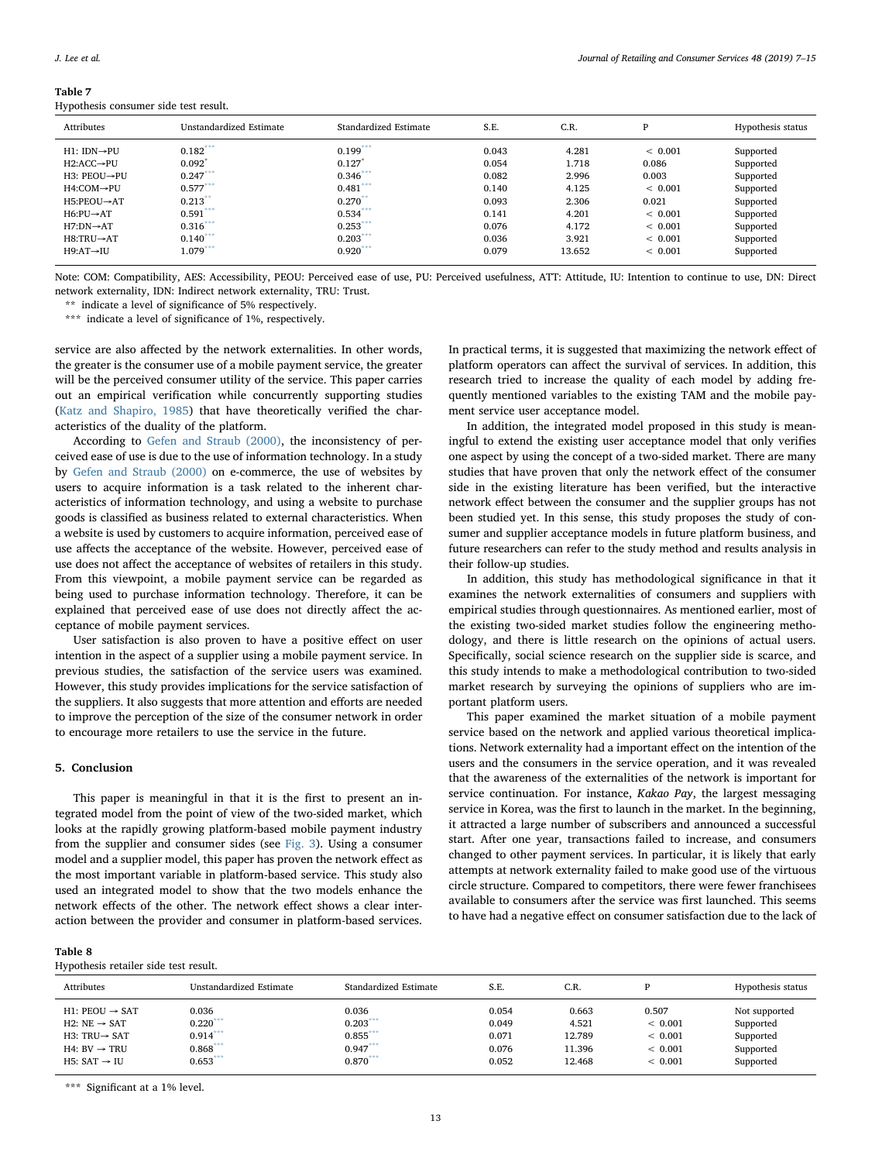#### <span id="page-6-0"></span>Table 7 Hypothesis consumer side test result.

| Attributes                  | Unstandardized Estimate | Standardized Estimate | S.E.  | C.R.   | D       | Hypothesis status |
|-----------------------------|-------------------------|-----------------------|-------|--------|---------|-------------------|
| $H1: IDN \rightarrow PU$    | $0.182***$              | $0.199***$            | 0.043 | 4.281  | < 0.001 | Supported         |
| $H2:ACC \rightarrow PU$     | $0.092^*$               | 0.127                 | 0.054 | 1.718  | 0.086   | Supported         |
| H3: PEOU→PU                 | $0.247***$              | $0.346***$            | 0.082 | 2.996  | 0.003   | Supported         |
| $H4:COM \rightarrow PU$     | $0.577***$              | $0.481***$            | 0.140 | 4.125  | < 0.001 | Supported         |
| $H5:$ PEOU $\rightarrow$ AT | $0.213$ **              | 0.270                 | 0.093 | 2.306  | 0.021   | Supported         |
| $H6:PIJ \rightarrow AT$     | $0.591***$              | $0.534***$            | 0.141 | 4.201  | < 0.001 | Supported         |
| $H7:DN \rightarrow AT$      | $0.316***$              | $0.253***$            | 0.076 | 4.172  | < 0.001 | Supported         |
| $H8:TRU \rightarrow AT$     | $0.140***$              | $0.203***$            | 0.036 | 3.921  | < 0.001 | Supported         |
| $H9:AT \rightarrow IU$      | $1.079***$              | $0.920***$            | 0.079 | 13.652 | < 0.001 | Supported         |

Note: COM: Compatibility, AES: Accessibility, PEOU: Perceived ease of use, PU: Perceived usefulness, ATT: Attitude, IU: Intention to continue to use, DN: Direct network externality, IDN: Indirect network externality, TRU: Trust.

<span id="page-6-3"></span>\*\* indicate a level of significance of 5% respectively.

<span id="page-6-2"></span>\*\*\* indicate a level of significance of 1%, respectively.

service are also affected by the network externalities. In other words, the greater is the consumer use of a mobile payment service, the greater will be the perceived consumer utility of the service. This paper carries out an empirical verification while concurrently supporting studies ([Katz and Shapiro, 1985](#page-7-22)) that have theoretically verified the characteristics of the duality of the platform.

According to [Gefen and Straub \(2000\)](#page-7-37), the inconsistency of perceived ease of use is due to the use of information technology. In a study by [Gefen and Straub \(2000\)](#page-7-37) on e-commerce, the use of websites by users to acquire information is a task related to the inherent characteristics of information technology, and using a website to purchase goods is classified as business related to external characteristics. When a website is used by customers to acquire information, perceived ease of use affects the acceptance of the website. However, perceived ease of use does not affect the acceptance of websites of retailers in this study. From this viewpoint, a mobile payment service can be regarded as being used to purchase information technology. Therefore, it can be explained that perceived ease of use does not directly affect the acceptance of mobile payment services.

User satisfaction is also proven to have a positive effect on user intention in the aspect of a supplier using a mobile payment service. In previous studies, the satisfaction of the service users was examined. However, this study provides implications for the service satisfaction of the suppliers. It also suggests that more attention and efforts are needed to improve the perception of the size of the consumer network in order to encourage more retailers to use the service in the future.

### 5. Conclusion

<span id="page-6-1"></span>Table 8

This paper is meaningful in that it is the first to present an integrated model from the point of view of the two-sided market, which looks at the rapidly growing platform-based mobile payment industry from the supplier and consumer sides (see [Fig. 3\)](#page-7-38). Using a consumer model and a supplier model, this paper has proven the network effect as the most important variable in platform-based service. This study also used an integrated model to show that the two models enhance the network effects of the other. The network effect shows a clear interaction between the provider and consumer in platform-based services.

|       |  | tion between the provider and consu |  |
|-------|--|-------------------------------------|--|
| ble 8 |  |                                     |  |

| Hypothesis retailer side test result. |  |  |  |  |
|---------------------------------------|--|--|--|--|
|---------------------------------------|--|--|--|--|

In practical terms, it is suggested that maximizing the network effect of platform operators can affect the survival of services. In addition, this research tried to increase the quality of each model by adding frequently mentioned variables to the existing TAM and the mobile payment service user acceptance model.

In addition, the integrated model proposed in this study is meaningful to extend the existing user acceptance model that only verifies one aspect by using the concept of a two-sided market. There are many studies that have proven that only the network effect of the consumer side in the existing literature has been verified, but the interactive network effect between the consumer and the supplier groups has not been studied yet. In this sense, this study proposes the study of consumer and supplier acceptance models in future platform business, and future researchers can refer to the study method and results analysis in their follow-up studies.

In addition, this study has methodological significance in that it examines the network externalities of consumers and suppliers with empirical studies through questionnaires. As mentioned earlier, most of the existing two-sided market studies follow the engineering methodology, and there is little research on the opinions of actual users. Specifically, social science research on the supplier side is scarce, and this study intends to make a methodological contribution to two-sided market research by surveying the opinions of suppliers who are important platform users.

This paper examined the market situation of a mobile payment service based on the network and applied various theoretical implications. Network externality had a important effect on the intention of the users and the consumers in the service operation, and it was revealed that the awareness of the externalities of the network is important for service continuation. For instance, Kakao Pay, the largest messaging service in Korea, was the first to launch in the market. In the beginning, it attracted a large number of subscribers and announced a successful start. After one year, transactions failed to increase, and consumers changed to other payment services. In particular, it is likely that early attempts at network externality failed to make good use of the virtuous circle structure. Compared to competitors, there were fewer franchisees available to consumers after the service was first launched. This seems to have had a negative effect on consumer satisfaction due to the lack of

| .                                                                                                                                           |                                                               |                                                               |                                           |                                              |                                                   |                                                                   |
|---------------------------------------------------------------------------------------------------------------------------------------------|---------------------------------------------------------------|---------------------------------------------------------------|-------------------------------------------|----------------------------------------------|---------------------------------------------------|-------------------------------------------------------------------|
| Attributes                                                                                                                                  | Unstandardized Estimate                                       | Standardized Estimate                                         | S.E.                                      | C.R.                                         |                                                   | Hypothesis status                                                 |
| $HI: PEOU \rightarrow SAT$<br>$H2: NE \rightarrow SAT$<br>$H3: TRU \rightarrow SAT$<br>$H4: BV \rightarrow TRU$<br>$H5: SAT \rightarrow IU$ | 0.036<br>$0.220***$<br>$0.914***$<br>$0.868***$<br>$0.653***$ | 0.036<br>$0.203***$<br>$0.855***$<br>$0.947***$<br>$0.870***$ | 0.054<br>0.049<br>0.071<br>0.076<br>0.052 | 0.663<br>4.521<br>12.789<br>11.396<br>12.468 | 0.507<br>< 0.001<br>< 0.001<br>< 0.001<br>< 0.001 | Not supported<br>Supported<br>Supported<br>Supported<br>Supported |
|                                                                                                                                             |                                                               |                                                               |                                           |                                              |                                                   |                                                                   |

<span id="page-6-4"></span>\*\*\* Significant at a 1% level.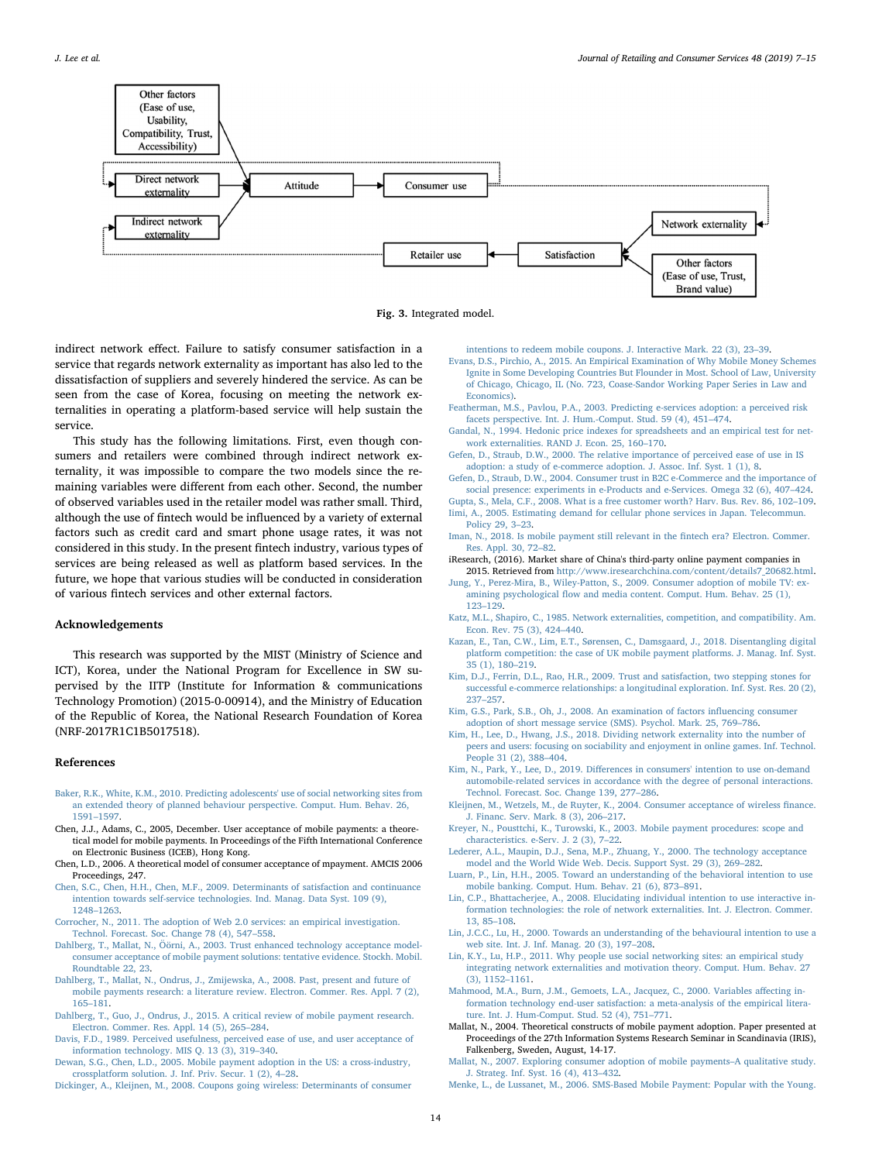<span id="page-7-38"></span>

Fig. 3. Integrated model.

indirect network effect. Failure to satisfy consumer satisfaction in a service that regards network externality as important has also led to the dissatisfaction of suppliers and severely hindered the service. As can be seen from the case of Korea, focusing on meeting the network externalities in operating a platform-based service will help sustain the service.

This study has the following limitations. First, even though consumers and retailers were combined through indirect network externality, it was impossible to compare the two models since the remaining variables were different from each other. Second, the number of observed variables used in the retailer model was rather small. Third, although the use of fintech would be influenced by a variety of external factors such as credit card and smart phone usage rates, it was not considered in this study. In the present fintech industry, various types of services are being released as well as platform based services. In the future, we hope that various studies will be conducted in consideration of various fintech services and other external factors.

# Acknowledgements

This research was supported by the MIST (Ministry of Science and ICT), Korea, under the National Program for Excellence in SW supervised by the IITP (Institute for Information & communications Technology Promotion) (2015-0-00914), and the Ministry of Education of the Republic of Korea, the National Research Foundation of Korea (NRF-2017R1C1B5017518).

#### References

- <span id="page-7-31"></span>[Baker, R.K., White, K.M., 2010. Predicting adolescents' use of social networking sites from](http://refhub.elsevier.com/S0969-6989(18)31051-8/sbref1) [an extended theory of planned behaviour perspective. Comput. Hum. Behav. 26,](http://refhub.elsevier.com/S0969-6989(18)31051-8/sbref1) [1591](http://refhub.elsevier.com/S0969-6989(18)31051-8/sbref1)–1597.
- <span id="page-7-8"></span>Chen, J.J., Adams, C., 2005, December. User acceptance of mobile payments: a theoretical model for mobile payments. In Proceedings of the Fifth International Conference on Electronic Business (ICEB), Hong Kong.
- <span id="page-7-9"></span>Chen, L.D., 2006. A theoretical model of consumer acceptance of mpayment. AMCIS 2006 Proceedings, 247.
- <span id="page-7-17"></span>[Chen, S.C., Chen, H.H., Chen, M.F., 2009. Determinants of satisfaction and continuance](http://refhub.elsevier.com/S0969-6989(18)31051-8/sbref2) [intention towards self-service technologies. Ind. Manag. Data Syst. 109 \(9\),](http://refhub.elsevier.com/S0969-6989(18)31051-8/sbref2) [1248](http://refhub.elsevier.com/S0969-6989(18)31051-8/sbref2)–1263.
- <span id="page-7-18"></span>[Corrocher, N., 2011. The adoption of Web 2.0 services: an empirical investigation.](http://refhub.elsevier.com/S0969-6989(18)31051-8/sbref3) [Technol. Forecast. Soc. Change 78 \(4\), 547](http://refhub.elsevier.com/S0969-6989(18)31051-8/sbref3)–558.
- <span id="page-7-14"></span>[Dahlberg, T., Mallat, N., Öörni, A., 2003. Trust enhanced technology acceptance model](http://refhub.elsevier.com/S0969-6989(18)31051-8/sbref4)[consumer acceptance of mobile payment solutions: tentative evidence. Stockh. Mobil.](http://refhub.elsevier.com/S0969-6989(18)31051-8/sbref4) [Roundtable 22, 23](http://refhub.elsevier.com/S0969-6989(18)31051-8/sbref4).
- <span id="page-7-11"></span>[Dahlberg, T., Mallat, N., Ondrus, J., Zmijewska, A., 2008. Past, present and future of](http://refhub.elsevier.com/S0969-6989(18)31051-8/sbref5) [mobile payments research: a literature review. Electron. Commer. Res. Appl. 7 \(2\),](http://refhub.elsevier.com/S0969-6989(18)31051-8/sbref5) 165–[181](http://refhub.elsevier.com/S0969-6989(18)31051-8/sbref5).
- <span id="page-7-0"></span>[Dahlberg, T., Guo, J., Ondrus, J., 2015. A critical review of mobile payment research.](http://refhub.elsevier.com/S0969-6989(18)31051-8/sbref6) [Electron. Commer. Res. Appl. 14 \(5\), 265](http://refhub.elsevier.com/S0969-6989(18)31051-8/sbref6)–284.
- <span id="page-7-27"></span>[Davis, F.D., 1989. Perceived usefulness, perceived ease of use, and user acceptance of](http://refhub.elsevier.com/S0969-6989(18)31051-8/sbref7) [information technology. MIS Q. 13 \(3\), 319](http://refhub.elsevier.com/S0969-6989(18)31051-8/sbref7)–340.
- <span id="page-7-13"></span>[Dewan, S.G., Chen, L.D., 2005. Mobile payment adoption in the US: a cross-industry,](http://refhub.elsevier.com/S0969-6989(18)31051-8/sbref8) [crossplatform solution. J. Inf. Priv. Secur. 1 \(2\), 4](http://refhub.elsevier.com/S0969-6989(18)31051-8/sbref8)–28.

<span id="page-7-6"></span>[Dickinger, A., Kleijnen, M., 2008. Coupons going wireless: Determinants of consumer](http://refhub.elsevier.com/S0969-6989(18)31051-8/sbref9)

[intentions to redeem mobile coupons. J. Interactive Mark. 22 \(3\), 23](http://refhub.elsevier.com/S0969-6989(18)31051-8/sbref9)–39.

- <span id="page-7-3"></span>[Evans, D.S., Pirchio, A., 2015. An Empirical Examination of Why Mobile Money Schemes](http://refhub.elsevier.com/S0969-6989(18)31051-8/sbref10) [Ignite in Some Developing Countries But Flounder in Most. School of Law, University](http://refhub.elsevier.com/S0969-6989(18)31051-8/sbref10) [of Chicago, Chicago, IL \(No. 723, Coase-Sandor Working Paper Series in Law and](http://refhub.elsevier.com/S0969-6989(18)31051-8/sbref10) [Economics\)](http://refhub.elsevier.com/S0969-6989(18)31051-8/sbref10).
- <span id="page-7-29"></span>[Featherman, M.S., Pavlou, P.A., 2003. Predicting e-services adoption: a perceived risk](http://refhub.elsevier.com/S0969-6989(18)31051-8/sbref11) [facets perspective. Int. J. Hum.-Comput. Stud. 59 \(4\), 451](http://refhub.elsevier.com/S0969-6989(18)31051-8/sbref11)–474.
- <span id="page-7-25"></span>[Gandal, N., 1994. Hedonic price indexes for spreadsheets and an empirical test for net](http://refhub.elsevier.com/S0969-6989(18)31051-8/sbref12)[work externalities. RAND J. Econ. 25, 160](http://refhub.elsevier.com/S0969-6989(18)31051-8/sbref12)–170.
- <span id="page-7-37"></span>[Gefen, D., Straub, D.W., 2000. The relative importance of perceived ease of use in IS](http://refhub.elsevier.com/S0969-6989(18)31051-8/sbref13) [adoption: a study of e-commerce adoption. J. Assoc. Inf. Syst. 1 \(1\), 8.](http://refhub.elsevier.com/S0969-6989(18)31051-8/sbref13)
- <span id="page-7-32"></span>[Gefen, D., Straub, D.W., 2004. Consumer trust in B2C e-Commerce and the importance of](http://refhub.elsevier.com/S0969-6989(18)31051-8/sbref14) [social presence: experiments in e-Products and e-Services. Omega 32 \(6\), 407](http://refhub.elsevier.com/S0969-6989(18)31051-8/sbref14)–424.
- <span id="page-7-30"></span><span id="page-7-23"></span>[Gupta, S., Mela, C.F., 2008. What is a free customer worth? Harv. Bus. Rev. 86, 102](http://refhub.elsevier.com/S0969-6989(18)31051-8/sbref15)–109. [Iimi, A., 2005. Estimating demand for cellular phone services in Japan. Telecommun.](http://refhub.elsevier.com/S0969-6989(18)31051-8/sbref16) [Policy 29, 3](http://refhub.elsevier.com/S0969-6989(18)31051-8/sbref16)–23.
- <span id="page-7-1"></span>[Iman, N., 2018. Is mobile payment still relevant in the](http://refhub.elsevier.com/S0969-6989(18)31051-8/sbref17) fintech era? Electron. Commer. [Res. Appl. 30, 72](http://refhub.elsevier.com/S0969-6989(18)31051-8/sbref17)–82.
- <span id="page-7-5"></span>iResearch, (2016). Market share of China's third-party online payment companies in
- <span id="page-7-28"></span>2015. Retrieved from [http://www.iresearchchina.com/content/details7\\_20682.html.](http://www.iresearchchina.com/content/details7_20682.html) [Jung, Y., Perez-Mira, B., Wiley-Patton, S., 2009. Consumer adoption of mobile TV: ex-](http://refhub.elsevier.com/S0969-6989(18)31051-8/sbref18)
- amining psychological fl[ow and media content. Comput. Hum. Behav. 25 \(1\),](http://refhub.elsevier.com/S0969-6989(18)31051-8/sbref18) 123–[129](http://refhub.elsevier.com/S0969-6989(18)31051-8/sbref18).
- <span id="page-7-22"></span>[Katz, M.L., Shapiro, C., 1985. Network externalities, competition, and compatibility. Am.](http://refhub.elsevier.com/S0969-6989(18)31051-8/sbref19) Econ. [Rev. 75 \(3\), 424](http://refhub.elsevier.com/S0969-6989(18)31051-8/sbref19)–440.
- <span id="page-7-4"></span>[Kazan, E., Tan, C.W., Lim, E.T., Sørensen, C., Damsgaard, J., 2018. Disentangling digital](http://refhub.elsevier.com/S0969-6989(18)31051-8/sbref20) [platform competition: the case of UK mobile payment platforms. J. Manag. Inf. Syst.](http://refhub.elsevier.com/S0969-6989(18)31051-8/sbref20) [35 \(1\), 180](http://refhub.elsevier.com/S0969-6989(18)31051-8/sbref20)–219.
- <span id="page-7-35"></span>[Kim, D.J., Ferrin, D.L., Rao, H.R., 2009. Trust and satisfaction, two stepping stones for](http://refhub.elsevier.com/S0969-6989(18)31051-8/sbref21) [successful e-commerce relationships: a longitudinal exploration. Inf. Syst. Res. 20 \(2\),](http://refhub.elsevier.com/S0969-6989(18)31051-8/sbref21) 237–[257](http://refhub.elsevier.com/S0969-6989(18)31051-8/sbref21).
- <span id="page-7-36"></span>[Kim, G.S., Park, S.B., Oh, J., 2008. An examination of factors in](http://refhub.elsevier.com/S0969-6989(18)31051-8/sbref22)fluencing consumer [adoption of short message service \(SMS\). Psychol. Mark. 25, 769](http://refhub.elsevier.com/S0969-6989(18)31051-8/sbref22)–786.
- <span id="page-7-15"></span>[Kim, H., Lee, D., Hwang, J.S., 2018. Dividing network externality into the number of](http://refhub.elsevier.com/S0969-6989(18)31051-8/sbref23) [peers and users: focusing on sociability and enjoyment in online games. Inf. Technol.](http://refhub.elsevier.com/S0969-6989(18)31051-8/sbref23) [People 31 \(2\), 388](http://refhub.elsevier.com/S0969-6989(18)31051-8/sbref23)–404.
- <span id="page-7-16"></span>Kim, N., Park, Y., Lee, D., 2019. Diff[erences in consumers' intention to use on-demand](http://refhub.elsevier.com/S0969-6989(18)31051-8/sbref24) [automobile-related services in accordance with the degree of personal interactions.](http://refhub.elsevier.com/S0969-6989(18)31051-8/sbref24) [Technol. Forecast. Soc. Change 139, 277](http://refhub.elsevier.com/S0969-6989(18)31051-8/sbref24)–286.
- <span id="page-7-7"></span>[Kleijnen, M., Wetzels, M., de Ruyter, K., 2004. Consumer acceptance of wireless](http://refhub.elsevier.com/S0969-6989(18)31051-8/sbref25) finance. [J. Financ. Serv. Mark. 8 \(3\), 206](http://refhub.elsevier.com/S0969-6989(18)31051-8/sbref25)–217.
- <span id="page-7-12"></span>[Kreyer, N., Pousttchi, K., Turowski, K., 2003. Mobile payment procedures: scope and](http://refhub.elsevier.com/S0969-6989(18)31051-8/sbref26) [characteristics. e-Serv. J. 2 \(3\), 7](http://refhub.elsevier.com/S0969-6989(18)31051-8/sbref26)–22.
- <span id="page-7-21"></span>[Lederer, A.L., Maupin, D.J., Sena, M.P., Zhuang, Y., 2000. The technology acceptance](http://refhub.elsevier.com/S0969-6989(18)31051-8/sbref27) [model and the World Wide Web. Decis. Support Syst. 29 \(3\), 269](http://refhub.elsevier.com/S0969-6989(18)31051-8/sbref27)–282.
- <span id="page-7-33"></span>[Luarn, P., Lin, H.H., 2005. Toward an understanding of the behavioral intention to use](http://refhub.elsevier.com/S0969-6989(18)31051-8/sbref28) [mobile banking. Comput. Hum. Behav. 21 \(6\), 873](http://refhub.elsevier.com/S0969-6989(18)31051-8/sbref28)–891.
- <span id="page-7-24"></span>[Lin, C.P., Bhattacherjee, A., 2008. Elucidating individual intention to use interactive in](http://refhub.elsevier.com/S0969-6989(18)31051-8/sbref29)[formation technologies: the role of network externalities. Int. J. Electron. Commer.](http://refhub.elsevier.com/S0969-6989(18)31051-8/sbref29) [13, 85](http://refhub.elsevier.com/S0969-6989(18)31051-8/sbref29)–108.
- <span id="page-7-20"></span>[Lin, J.C.C., Lu, H., 2000. Towards an understanding of the behavioural intention to use a](http://refhub.elsevier.com/S0969-6989(18)31051-8/sbref30) [web site. Int. J. Inf. Manag. 20 \(3\), 197](http://refhub.elsevier.com/S0969-6989(18)31051-8/sbref30)–208.
- <span id="page-7-26"></span>[Lin, K.Y., Lu, H.P., 2011. Why people use social networking sites: an empirical study](http://refhub.elsevier.com/S0969-6989(18)31051-8/sbref31) [integrating network externalities and motivation theory. Comput. Hum. Behav. 27](http://refhub.elsevier.com/S0969-6989(18)31051-8/sbref31) [\(3\), 1152](http://refhub.elsevier.com/S0969-6989(18)31051-8/sbref31)–1161.
- <span id="page-7-34"></span>[Mahmood, M.A., Burn, J.M., Gemoets, L.A., Jacquez, C., 2000. Variables a](http://refhub.elsevier.com/S0969-6989(18)31051-8/sbref32)ffecting in[formation technology end-user satisfaction: a meta-analysis of the empirical litera](http://refhub.elsevier.com/S0969-6989(18)31051-8/sbref32)[ture. Int. J. Hum-Comput. Stud. 52 \(4\), 751](http://refhub.elsevier.com/S0969-6989(18)31051-8/sbref32)–771.
- <span id="page-7-19"></span>Mallat, N., 2004. Theoretical constructs of mobile payment adoption. Paper presented at Proceedings of the 27th Information Systems Research Seminar in Scandinavia (IRIS), Falkenberg, Sweden, August, 14-17.
- <span id="page-7-10"></span>[Mallat, N., 2007. Exploring consumer adoption of mobile payments](http://refhub.elsevier.com/S0969-6989(18)31051-8/sbref33)–A qualitative study. [J. Strateg. Inf. Syst. 16 \(4\), 413](http://refhub.elsevier.com/S0969-6989(18)31051-8/sbref33)–432.
- <span id="page-7-2"></span>[Menke, L., de Lussanet, M., 2006. SMS-Based Mobile Payment: Popular with the Young.](http://refhub.elsevier.com/S0969-6989(18)31051-8/sbref34)